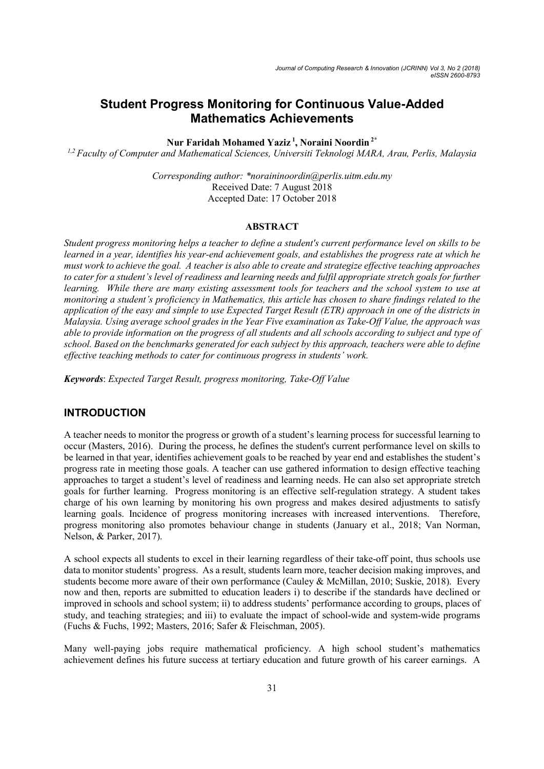# Student Progress Monitoring for Continuous Value-Added Mathematics Achievements

Nur Faridah Mohamed Yaziz<sup>1</sup>, Noraini Noordin<sup>2\*</sup>

<sup>1,2</sup> Faculty of Computer and Mathematical Sciences, Universiti Teknologi MARA, Arau, Perlis, Malaysia

Corresponding author: \*noraininoordin@perlis.uitm.edu.my Received Date: 7 August 2018 Accepted Date: 17 October 2018

#### ABSTRACT

Student progress monitoring helps a teacher to define a student's current performance level on skills to be learned in a year, identifies his year-end achievement goals, and establishes the progress rate at which he must work to achieve the goal. A teacher is also able to create and strategize effective teaching approaches to cater for a student's level of readiness and learning needs and fulfil appropriate stretch goals for further learning. While there are many existing assessment tools for teachers and the school system to use at monitoring a student's proficiency in Mathematics, this article has chosen to share findings related to the application of the easy and simple to use Expected Target Result (ETR) approach in one of the districts in Malaysia. Using average school grades in the Year Five examination as Take-Off Value, the approach was able to provide information on the progress of all students and all schools according to subject and type of school. Based on the benchmarks generated for each subject by this approach, teachers were able to define effective teaching methods to cater for continuous progress in students' work.

Keywords: Expected Target Result, progress monitoring, Take-Off Value

# INTRODUCTION

A teacher needs to monitor the progress or growth of a student's learning process for successful learning to occur (Masters, 2016). During the process, he defines the student's current performance level on skills to be learned in that year, identifies achievement goals to be reached by year end and establishes the student's progress rate in meeting those goals. A teacher can use gathered information to design effective teaching approaches to target a student's level of readiness and learning needs. He can also set appropriate stretch goals for further learning. Progress monitoring is an effective self-regulation strategy. A student takes charge of his own learning by monitoring his own progress and makes desired adjustments to satisfy learning goals. Incidence of progress monitoring increases with increased interventions. Therefore, progress monitoring also promotes behaviour change in students (January et al., 2018; Van Norman, Nelson, & Parker, 2017).

A school expects all students to excel in their learning regardless of their take-off point, thus schools use data to monitor students' progress. As a result, students learn more, teacher decision making improves, and students become more aware of their own performance (Cauley & McMillan, 2010; Suskie, 2018). Every now and then, reports are submitted to education leaders i) to describe if the standards have declined or improved in schools and school system; ii) to address students' performance according to groups, places of study, and teaching strategies; and iii) to evaluate the impact of school-wide and system-wide programs (Fuchs & Fuchs, 1992; Masters, 2016; Safer & Fleischman, 2005).

Many well-paying jobs require mathematical proficiency. A high school student's mathematics achievement defines his future success at tertiary education and future growth of his career earnings. A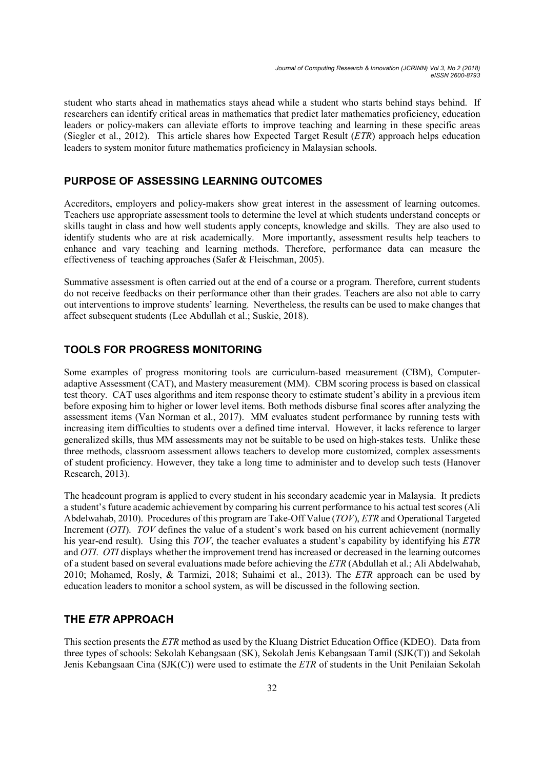student who starts ahead in mathematics stays ahead while a student who starts behind stays behind. If researchers can identify critical areas in mathematics that predict later mathematics proficiency, education leaders or policy-makers can alleviate efforts to improve teaching and learning in these specific areas (Siegler et al., 2012). This article shares how Expected Target Result (ETR) approach helps education leaders to system monitor future mathematics proficiency in Malaysian schools.

# PURPOSE OF ASSESSING LEARNING OUTCOMES

Accreditors, employers and policy-makers show great interest in the assessment of learning outcomes. Teachers use appropriate assessment tools to determine the level at which students understand concepts or skills taught in class and how well students apply concepts, knowledge and skills. They are also used to identify students who are at risk academically. More importantly, assessment results help teachers to enhance and vary teaching and learning methods. Therefore, performance data can measure the effectiveness of teaching approaches (Safer & Fleischman, 2005).

Summative assessment is often carried out at the end of a course or a program. Therefore, current students do not receive feedbacks on their performance other than their grades. Teachers are also not able to carry out interventions to improve students' learning. Nevertheless, the results can be used to make changes that affect subsequent students (Lee Abdullah et al.; Suskie, 2018).

# TOOLS FOR PROGRESS MONITORING

Some examples of progress monitoring tools are curriculum-based measurement (CBM), Computeradaptive Assessment (CAT), and Mastery measurement (MM). CBM scoring process is based on classical test theory. CAT uses algorithms and item response theory to estimate student's ability in a previous item before exposing him to higher or lower level items. Both methods disburse final scores after analyzing the assessment items (Van Norman et al., 2017). MM evaluates student performance by running tests with increasing item difficulties to students over a defined time interval. However, it lacks reference to larger generalized skills, thus MM assessments may not be suitable to be used on high‐stakes tests. Unlike these three methods, classroom assessment allows teachers to develop more customized, complex assessments of student proficiency. However, they take a long time to administer and to develop such tests (Hanover Research, 2013).

The headcount program is applied to every student in his secondary academic year in Malaysia. It predicts a student's future academic achievement by comparing his current performance to his actual test scores (Ali Abdelwahab, 2010). Procedures of this program are Take-Off Value (TOV), ETR and Operational Targeted Increment (OTI). TOV defines the value of a student's work based on his current achievement (normally his year-end result). Using this TOV, the teacher evaluates a student's capability by identifying his ETR and OTI. OTI displays whether the improvement trend has increased or decreased in the learning outcomes of a student based on several evaluations made before achieving the ETR (Abdullah et al.; Ali Abdelwahab, 2010; Mohamed, Rosly, & Tarmizi, 2018; Suhaimi et al., 2013). The ETR approach can be used by education leaders to monitor a school system, as will be discussed in the following section.

# THE ETR APPROACH

This section presents the ETR method as used by the Kluang District Education Office (KDEO). Data from three types of schools: Sekolah Kebangsaan (SK), Sekolah Jenis Kebangsaan Tamil (SJK(T)) and Sekolah Jenis Kebangsaan Cina (SJK(C)) were used to estimate the ETR of students in the Unit Penilaian Sekolah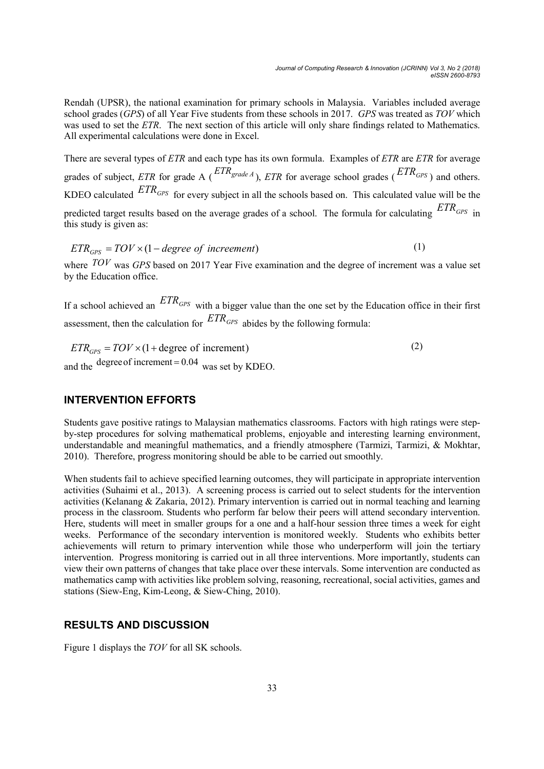Rendah (UPSR), the national examination for primary schools in Malaysia. Variables included average school grades (GPS) of all Year Five students from these schools in 2017. GPS was treated as TOV which was used to set the *ETR*. The next section of this article will only share findings related to Mathematics. All experimental calculations were done in Excel.

There are several types of ETR and each type has its own formula. Examples of ETR are ETR for average grades of subject, *ETR* for grade A ( $^{ETR_{grade A}$ ), *ETR* for average school grades ( $^{ETR}_{GPS}$ ) and others. KDEO calculated  $ETR<sub>GPS</sub>$  for every subject in all the schools based on. This calculated value will be the predicted target results based on the average grades of a school. The formula for calculating  $ETR_{GPS}$  in this study is given as:

$$
ETR_{GPS} = TOV \times (1 - degree\ of\ increment)
$$
 (1)

where TOV was GPS based on 2017 Year Five examination and the degree of increment was a value set by the Education office.

If a school achieved an  $ETR_{GPS}$  with a bigger value than the one set by the Education office in their first assessment, then the calculation for  $ETR<sub>GPS</sub>$  abides by the following formula:

 $ETR_{CPS} = TOV \times (1 + \text{degree of increment})$  (2) and the degree of increment =  $0.04$  was set by KDEO.

# INTERVENTION EFFORTS

Students gave positive ratings to Malaysian mathematics classrooms. Factors with high ratings were stepby-step procedures for solving mathematical problems, enjoyable and interesting learning environment, understandable and meaningful mathematics, and a friendly atmosphere (Tarmizi, Tarmizi, & Mokhtar, 2010). Therefore, progress monitoring should be able to be carried out smoothly.

When students fail to achieve specified learning outcomes, they will participate in appropriate intervention activities (Suhaimi et al., 2013). A screening process is carried out to select students for the intervention activities (Kelanang & Zakaria, 2012). Primary intervention is carried out in normal teaching and learning process in the classroom. Students who perform far below their peers will attend secondary intervention. Here, students will meet in smaller groups for a one and a half-hour session three times a week for eight weeks. Performance of the secondary intervention is monitored weekly. Students who exhibits better achievements will return to primary intervention while those who underperform will join the tertiary intervention. Progress monitoring is carried out in all three interventions. More importantly, students can view their own patterns of changes that take place over these intervals. Some intervention are conducted as mathematics camp with activities like problem solving, reasoning, recreational, social activities, games and stations (Siew-Eng, Kim-Leong, & Siew-Ching, 2010).

# RESULTS AND DISCUSSION

Figure 1 displays the TOV for all SK schools.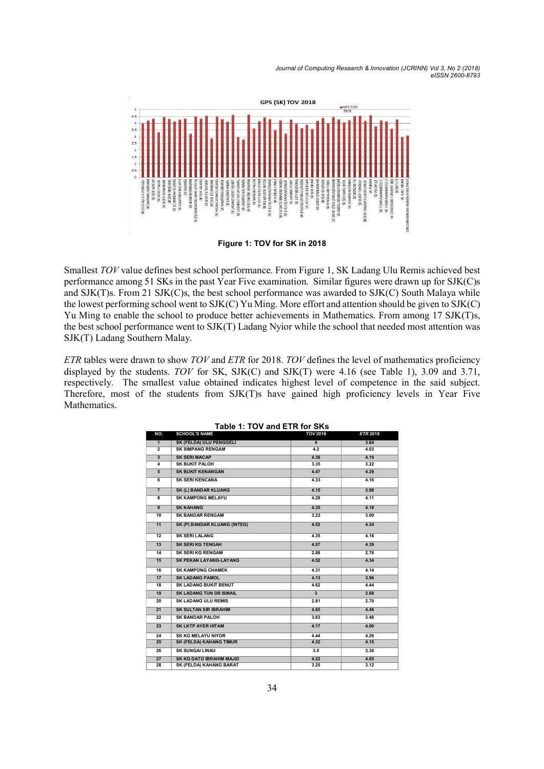Journal of Computing Research & Innovation (JCRINN) Vol 3, No 2 (2018) eISSN 2600-8793



Smallest TOV value defines best school performance. From Figure 1, SK Ladang Ulu Remis achieved best performance among 51 SKs in the past Year Five examination. Similar figures were drawn up for SJK(C)s and SJK(T)s. From 21 SJK(C)s, the best school performance was awarded to SJK(C) South Malaya while the lowest performing school went to SJK(C) Yu Ming. More effort and attention should be given to SJK(C) Yu Ming to enable the school to produce better achievements in Mathematics. From among 17 SJK(T)s, the best school performance went to SJK(T) Ladang Nyior while the school that needed most attention was SJK(T) Ladang Southern Malay.

ETR tables were drawn to show TOV and ETR for 2018. TOV defines the level of mathematics proficiency displayed by the students. TOV for SK, SJK(C) and SJK(T) were 4.16 (see Table 1), 3.09 and 3.71, respectively. The smallest value obtained indicates highest level of competence in the said subject. Therefore, most of the students from SJK(T)s have gained high proficiency levels in Year Five Mathematics.

| NO.             | <b>SCHOOL'S NAME</b>            | <b>TOV 2018</b> | <b>ETR 2018</b> |
|-----------------|---------------------------------|-----------------|-----------------|
| $\mathbf{1}$    | <b>SK (FELDA) ULU PENGGELI</b>  | 4               | 3.84            |
| $\overline{2}$  | <b>SK SIMPANG RENGAM</b>        | 4.2             | 4.03            |
| $\overline{3}$  | <b>SK SERI MACAP</b>            | 4.36            | 4.19            |
| 4               | <b>SK BUKIT PALOH</b>           | 3.35            | 3.22            |
| 5               | <b>SK BUKIT KENANGAN</b>        | 4.47            | 4.29            |
| 6               | <b>SK SERIKENCANA</b>           | 4.33            | 4.16            |
|                 | <b>SK (L) BANDAR KLUANG</b>     | 4.15            | 3.98            |
| 8               | <b>SK KAMPONG MELAYU</b>        | 4.28            | 4.11            |
| $\overline{9}$  | <b>SK KAHANG</b>                | 4.35            | 4.18            |
| 10              | <b>SK BANDAR RENGAM</b>         | 3.22            | 3.09            |
| 11              | SK (P) BANDAR KLUANG (INTEG)    | 4.52            | 4.34            |
| 12              | <b>SK SERILALANG</b>            | 4.35            | 4.18            |
| 13              | <b>SK SERIKG TENGAH</b>         | 4.57            | 4.39            |
| 14              | <b>SK SERIKG RENGAM</b>         | 2.88            | 2.76            |
| 15              | <b>SK PEKAN LAYANG-LAYANG</b>   | 4.52            | 4.34            |
| 16              | <b>SK KAMPONG CHAMEK</b>        | 4.31            | 4.14            |
| 17              | <b>SK LADANG PAMOL</b>          | 4.13            | 3.96            |
| $\overline{18}$ | <b>SK LADANG BUKIT BENUT</b>    | 4.62            | 4.44            |
| 19              | <b>SK LADANG TUN DR ISMAIL</b>  | $\overline{3}$  | 2.88            |
| 20              | <b>SK LADANG ULU REMIS</b>      | 2.81            | 2.70            |
| 21              | <b>SK SULTAN SIR IBRAHIM</b>    | 4.65            | 4.46            |
| 22              | <b>SK BANDAR PALOH</b>          | 3.63            | 3.48            |
| 23              | <b>SK LKTP AYER HITAM</b>       | 4.17            | 4.00            |
| 24              | <b>SK KG MELAYU NIYOR</b>       | 4.44            | 4.26            |
| 25              | SK (FELDA) KAHANG TIMUR         | 4.32            | 4.15            |
| 26              | <b>SK SUNGAI LINAU</b>          | 3.5             | 3.36            |
| 27              | <b>SK KG DATO IBRAHIM MAJID</b> | 4.22            | 4.05            |
| 28              | SK (FELDA) KAHANG BARAT         | 3.25            | 3.12            |

#### Table 1: TOV and ETR for SKs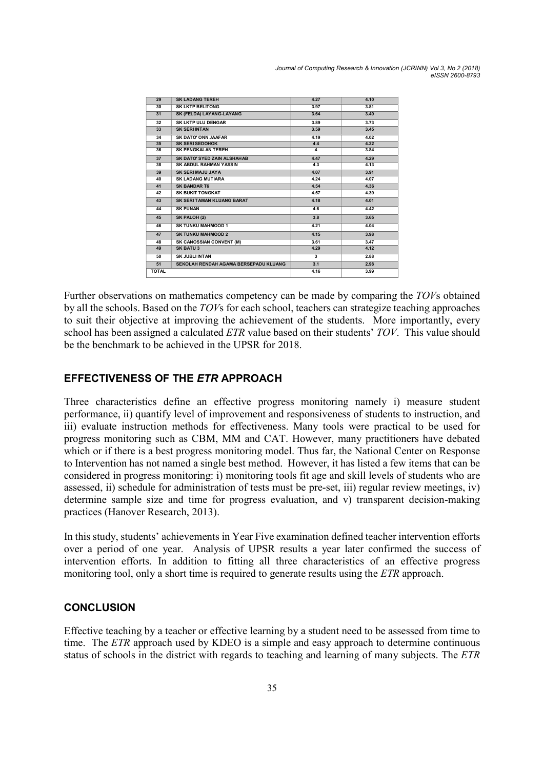Journal of Computing Research & Innovation (JCRINN) Vol 3, No 2 (2018) eISSN 2600-8793

| <b>SK LADANG TEREH</b><br><b>SK LKTP BELITONG</b><br>SK (FELDA) LAYANG-LAYANG | 4.27<br>3.97            | 4.10<br>3.81 |
|-------------------------------------------------------------------------------|-------------------------|--------------|
|                                                                               |                         |              |
|                                                                               |                         |              |
|                                                                               | 3.64                    | 3.49         |
| <b>SK LKTP ULU DENGAR</b>                                                     | 3.89                    | 3.73         |
| <b>SK SERI INTAN</b>                                                          | 3.59                    | 3.45         |
| <b>SK DATO' ONN JAAFAR</b>                                                    | 4.19                    | 4.02         |
| <b>SK SERI SEDOHOK</b>                                                        | 4.4                     | 4.22         |
| <b>SK PENGKALAN TEREH</b>                                                     | 4                       | 3.84         |
| <b>SK DATO' SYED ZAIN ALSHAHAB</b>                                            | 4.47                    | 4.29         |
| <b>SK ABDUL RAHMAN YASSIN</b>                                                 | 4.3                     | 4.13         |
| SK SERI MAJU JAYA                                                             | 4.07                    | 3.91         |
| <b>SK LADANG MUTIARA</b>                                                      | 4.24                    | 4.07         |
| <b>SK BANDAR T6</b>                                                           | 4.54                    | 4.36         |
| <b>SK BUKIT TONGKAT</b>                                                       | 4.57                    | 4.39         |
| SK SERITAMAN KLUANG BARAT                                                     | 4.18                    | 4.01         |
| <b>SK PUNAN</b>                                                               | 4.6                     | 4.42         |
| SK PALOH (2)                                                                  | 3.8                     | 3.65         |
| <b>SK TUNKU MAHMOOD 1</b>                                                     | 4.21                    | 4.04         |
| <b>SK TUNKU MAHMOOD 2</b>                                                     | 4.15                    | 3.98         |
| <b>SK CANOSSIAN CONVENT (M)</b>                                               | 3.61                    | 3.47         |
| <b>SK BATU 3</b>                                                              | 4.29                    | 4.12         |
| <b>SK JUBLI INTAN</b>                                                         | $\overline{\mathbf{3}}$ | 2.88         |
| SEKOLAH RENDAH AGAMA BERSEPADU KLUANG                                         | 3.1                     | 2.98         |
|                                                                               | 4.16                    | 3.99         |
|                                                                               |                         |              |

Further observations on mathematics competency can be made by comparing the TOVs obtained by all the schools. Based on the TOVs for each school, teachers can strategize teaching approaches to suit their objective at improving the achievement of the students. More importantly, every school has been assigned a calculated ETR value based on their students' TOV. This value should be the benchmark to be achieved in the UPSR for 2018.

# EFFECTIVENESS OF THE ETR APPROACH

Three characteristics define an effective progress monitoring namely i) measure student performance, ii) quantify level of improvement and responsiveness of students to instruction, and iii) evaluate instruction methods for effectiveness. Many tools were practical to be used for progress monitoring such as CBM, MM and CAT. However, many practitioners have debated which or if there is a best progress monitoring model. Thus far, the National Center on Response to Intervention has not named a single best method. However, it has listed a few items that can be considered in progress monitoring: i) monitoring tools fit age and skill levels of students who are assessed, ii) schedule for administration of tests must be pre-set, iii) regular review meetings, iv) determine sample size and time for progress evaluation, and v) transparent decision-making practices (Hanover Research, 2013).

In this study, students' achievements in Year Five examination defined teacher intervention efforts over a period of one year. Analysis of UPSR results a year later confirmed the success of intervention efforts. In addition to fitting all three characteristics of an effective progress monitoring tool, only a short time is required to generate results using the ETR approach.

#### **CONCLUSION**

Effective teaching by a teacher or effective learning by a student need to be assessed from time to time. The *ETR* approach used by KDEO is a simple and easy approach to determine continuous status of schools in the district with regards to teaching and learning of many subjects. The ETR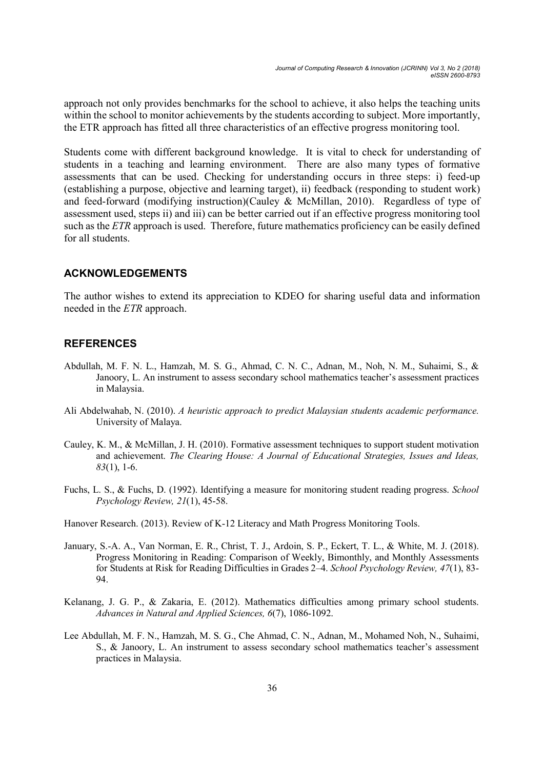approach not only provides benchmarks for the school to achieve, it also helps the teaching units within the school to monitor achievements by the students according to subject. More importantly, the ETR approach has fitted all three characteristics of an effective progress monitoring tool.

Students come with different background knowledge. It is vital to check for understanding of students in a teaching and learning environment. There are also many types of formative assessments that can be used. Checking for understanding occurs in three steps: i) feed-up (establishing a purpose, objective and learning target), ii) feedback (responding to student work) and feed-forward (modifying instruction)(Cauley & McMillan, 2010). Regardless of type of assessment used, steps ii) and iii) can be better carried out if an effective progress monitoring tool such as the *ETR* approach is used. Therefore, future mathematics proficiency can be easily defined for all students.

#### ACKNOWLEDGEMENTS

The author wishes to extend its appreciation to KDEO for sharing useful data and information needed in the ETR approach.

# **REFERENCES**

- Abdullah, M. F. N. L., Hamzah, M. S. G., Ahmad, C. N. C., Adnan, M., Noh, N. M., Suhaimi, S., & Janoory, L. An instrument to assess secondary school mathematics teacher's assessment practices in Malaysia.
- Ali Abdelwahab, N. (2010). A heuristic approach to predict Malaysian students academic performance. University of Malaya.
- Cauley, K. M., & McMillan, J. H. (2010). Formative assessment techniques to support student motivation and achievement. The Clearing House: A Journal of Educational Strategies, Issues and Ideas,  $83(1)$ , 1-6.
- Fuchs, L. S., & Fuchs, D. (1992). Identifying a measure for monitoring student reading progress. School Psychology Review, 21(1), 45-58.
- Hanover Research. (2013). Review of K-12 Literacy and Math Progress Monitoring Tools.
- January, S.-A. A., Van Norman, E. R., Christ, T. J., Ardoin, S. P., Eckert, T. L., & White, M. J. (2018). Progress Monitoring in Reading: Comparison of Weekly, Bimonthly, and Monthly Assessments for Students at Risk for Reading Difficulties in Grades 2–4. School Psychology Review, 47(1), 83- 94.
- Kelanang, J. G. P., & Zakaria, E. (2012). Mathematics difficulties among primary school students. Advances in Natural and Applied Sciences, 6(7), 1086-1092.
- Lee Abdullah, M. F. N., Hamzah, M. S. G., Che Ahmad, C. N., Adnan, M., Mohamed Noh, N., Suhaimi, S., & Janoory, L. An instrument to assess secondary school mathematics teacher's assessment practices in Malaysia.